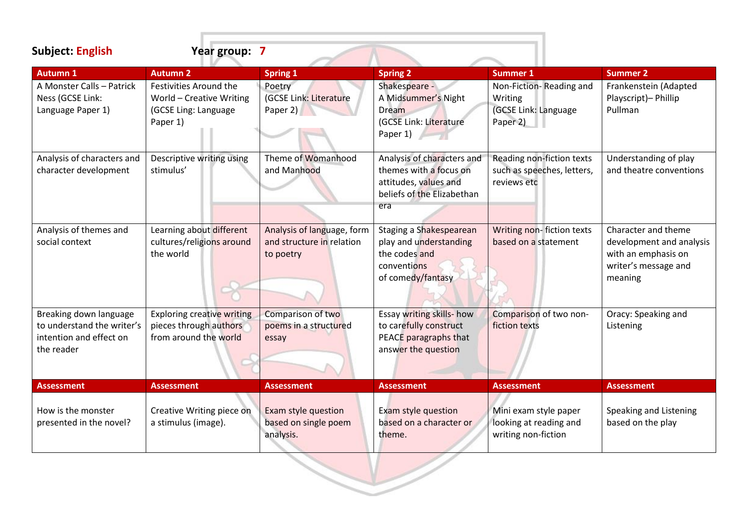**Subject: English Year group: 7 Autumn 1 Autumn 2 Spring 1 Spring 2 Summer 1 Summer 2** A Monster Calls – Patrick Ness (GCSE Link: Language Paper 1) Festivities Around the World – Creative Writing (GCSE Ling: Language Paper 1) Poetry (GCSE Link: Literature Paper 2) Shakespeare - A Midsummer's Night Dream (GCSE Link: Literature Paper 1) Non-Fiction- Reading and Writing (GCSE Link: Language Paper 2) Frankenstein (Adapted Playscript)– Phillip Pullman Analysis of characters and character development Descriptive writing using stimulus' Theme of Womanhood and Manhood Analysis of characters and themes with a focus on attitudes, values and beliefs of the Elizabethan era Reading non-fiction texts such as speeches, letters, reviews etc Understanding of play and theatre conventions Analysis of themes and social context Learning about different cultures/religions around the world Analysis of language, form and structure in relation to poetry Staging a Shakespearean play and understanding the codes and conventions of comedy/fantasy Writing non- fiction texts based on a statement Character and theme development and analysis with an emphasis on writer's message and meaning Breaking down language to understand the writer's intention and effect on the reader Exploring creative writing pieces through authors from around the world Comparison of two poems in a structured essay Essay writing skills- how to carefully construct PEACE paragraphs that answer the question Comparison of two nonfiction texts Oracy: Speaking and Listening **Assessment Assessment Assessment Assessment Assessment Assessment** How is the monster presented in the novel? Creative Writing piece on a stimulus (image). Exam style question based on single poem analysis. Exam style question based on a character or theme. Mini exam style paper looking at reading and writing non-fiction Speaking and Listening based on the play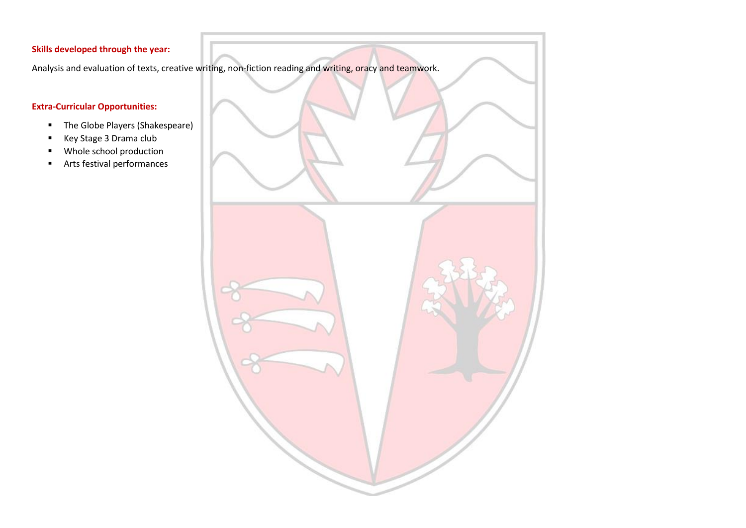Analysis and evaluation of texts, creative writing, non-fiction reading and writing, oracy and teamwork.

## **Extra-Curricular Opportunities:**

- The Globe Players (Shakespeare)
- Key Stage 3 Drama club
- Whole school production
- Arts festival performances

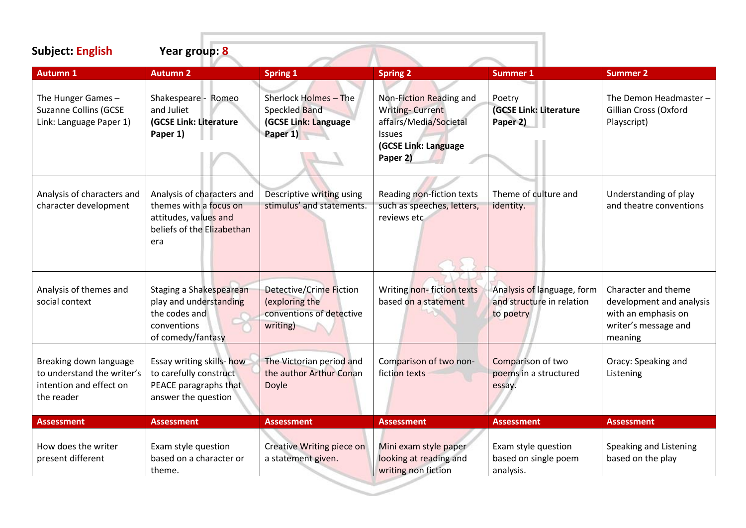| <b>Subject: English</b>                                                                       | Year group: 8                                                                                                      |                                                                                          |                                                                                                                                  |                                                                      |                                                                                                           |
|-----------------------------------------------------------------------------------------------|--------------------------------------------------------------------------------------------------------------------|------------------------------------------------------------------------------------------|----------------------------------------------------------------------------------------------------------------------------------|----------------------------------------------------------------------|-----------------------------------------------------------------------------------------------------------|
| <b>Autumn 1</b>                                                                               | <b>Autumn 2</b>                                                                                                    | <b>Spring 1</b>                                                                          | <b>Spring 2</b>                                                                                                                  | <b>Summer 1</b>                                                      | <b>Summer 2</b>                                                                                           |
| The Hunger Games-<br><b>Suzanne Collins (GCSE</b><br>Link: Language Paper 1)                  | Shakespeare - Romeo<br>and Juliet<br>(GCSE Link: Literature<br>Paper 1)                                            | Sherlock Holmes - The<br>Speckled Band<br>(GCSE Link: Language<br>Paper 1)               | Non-Fiction Reading and<br><b>Writing-Current</b><br>affairs/Media/Societal<br><b>Issues</b><br>(GCSE Link: Language<br>Paper 2) | Poetry<br>(GCSE Link: Literature<br>Paper 2)                         | The Demon Headmaster-<br>Gillian Cross (Oxford<br>Playscript)                                             |
| Analysis of characters and<br>character development                                           | Analysis of characters and<br>themes with a focus on<br>attitudes, values and<br>beliefs of the Elizabethan<br>era | Descriptive writing using<br>stimulus' and statements.                                   | Reading non-fiction texts<br>such as speeches, letters,<br>reviews etc                                                           | Theme of culture and<br>identity.                                    | Understanding of play<br>and theatre conventions                                                          |
| Analysis of themes and<br>social context                                                      | Staging a Shakespearean<br>play and understanding<br>the codes and<br>conventions<br>of comedy/fantasy             | <b>Detective/Crime Fiction</b><br>(exploring the<br>conventions of detective<br>writing) | Writing non-fiction texts<br>based on a statement                                                                                | Analysis of language, form<br>and structure in relation<br>to poetry | Character and theme<br>development and analysis<br>with an emphasis on<br>writer's message and<br>meaning |
| Breaking down language<br>to understand the writer's<br>intention and effect on<br>the reader | Essay writing skills- how<br>to carefully construct<br>PEACE paragraphs that<br>answer the question                | The Victorian period and<br>the author Arthur Conan<br>Doyle                             | Comparison of two non-<br>fiction texts                                                                                          | Comparison of two<br>poems in a structured<br>essay.                 | Oracy: Speaking and<br>Listening                                                                          |
| <b>Assessment</b>                                                                             | <b>Assessment</b>                                                                                                  | <b>Assessment</b>                                                                        | <b>Assessment</b>                                                                                                                | <b>Assessment</b>                                                    | <b>Assessment</b>                                                                                         |
| How does the writer<br>present different                                                      | Exam style question<br>based on a character or<br>theme.                                                           | <b>Creative Writing piece on</b><br>a statement given.                                   | Mini exam style paper<br>looking at reading and<br>writing non fiction                                                           | Exam style question<br>based on single poem<br>analysis.             | Speaking and Listening<br>based on the play                                                               |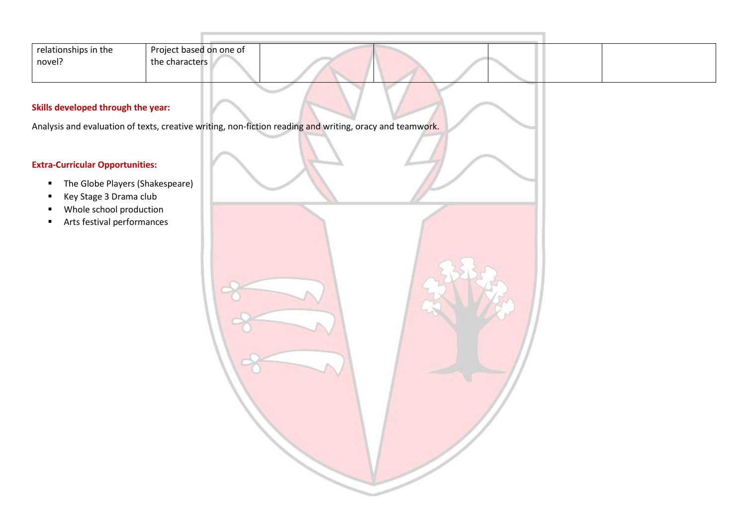| relationships in the | Project based on one of |  |  |  |
|----------------------|-------------------------|--|--|--|
| novel?               | the characters          |  |  |  |
|                      |                         |  |  |  |

Analysis and evaluation of texts, creative writing, non-fiction reading and writing, oracy and teamwork.

# **Extra-Curricular Opportunities:**

- The Globe Players (Shakespeare)
- Key Stage 3 Drama club
- Whole school production
- Arts festival performances

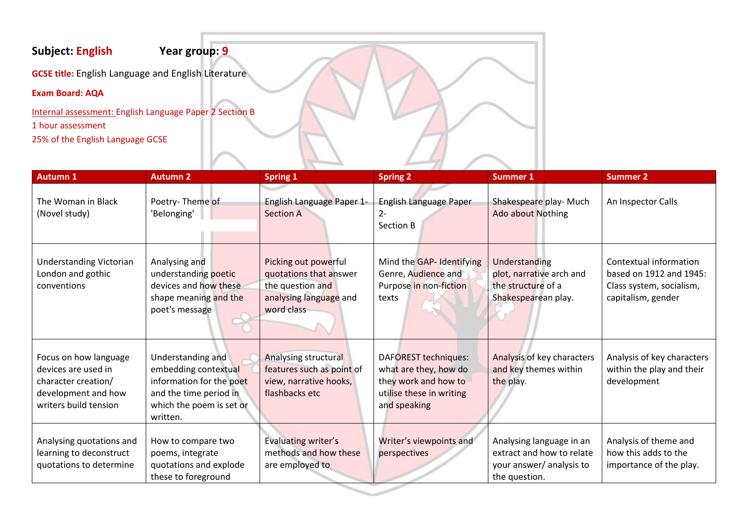# **Subject: English Year group: 9**

**GCSE title:** English Language and English Literature

# **Exam Board: AQA**

Internal assessment: English Language Paper 2 Section B 1 hour assessment 25% of the English Language GCSE

| <b>Autumn 1</b>                                                                                                     | <b>Autumn 2</b>                                                                                                                         | <b>Spring 1</b>                                                                                            | <b>Spring 2</b>                                                                                                          | <b>Summer 1</b>                                                                                    | <b>Summer 2</b>                                                                                     |
|---------------------------------------------------------------------------------------------------------------------|-----------------------------------------------------------------------------------------------------------------------------------------|------------------------------------------------------------------------------------------------------------|--------------------------------------------------------------------------------------------------------------------------|----------------------------------------------------------------------------------------------------|-----------------------------------------------------------------------------------------------------|
| The Woman in Black<br>(Novel study)                                                                                 | Poetry-Theme of<br>'Belonging'                                                                                                          | English Language Paper 1-<br><b>Section A</b>                                                              | English Language Paper<br>2-<br>Section B                                                                                | Shakespeare play- Much<br><b>Ado about Nothing</b>                                                 | An Inspector Calls                                                                                  |
| <b>Understanding Victorian</b><br>London and gothic<br>conventions                                                  | Analysing and<br>understanding poetic<br>devices and how these<br>shape meaning and the<br>poet's message                               | Picking out powerful<br>quotations that answer<br>the question and<br>analysing language and<br>word class | Mind the GAP- Identifying<br>Genre, Audience and<br>Purpose in non-fiction<br>texts                                      | Understanding<br>plot, narrative arch and<br>the structure of a<br>Shakespearean play.             | Contextual information<br>based on 1912 and 1945:<br>Class system, socialism,<br>capitalism, gender |
| Focus on how language<br>devices are used in<br>character creation/<br>development and how<br>writers build tension | Understanding and<br>embedding contextual<br>information for the poet<br>and the time period in<br>which the poem is set or<br>written. | Analysing structural<br>features such as point of<br>view, narrative hooks,<br>flashbacks etc              | <b>DAFOREST techniques:</b><br>what are they, how do<br>they work and how to<br>utilise these in writing<br>and speaking | Analysis of key characters<br>and key themes within<br>the play.                                   | Analysis of key characters<br>within the play and their<br>development                              |
| Analysing quotations and<br>learning to deconstruct<br>quotations to determine                                      | How to compare two<br>poems, integrate<br>quotations and explode<br>these to foreground                                                 | Evaluating writer's<br>methods and how these<br>are employed to                                            | Writer's viewpoints and<br>perspectives                                                                                  | Analysing language in an<br>extract and how to relate<br>your answer/ analysis to<br>the question. | Analysis of theme and<br>how this adds to the<br>importance of the play.                            |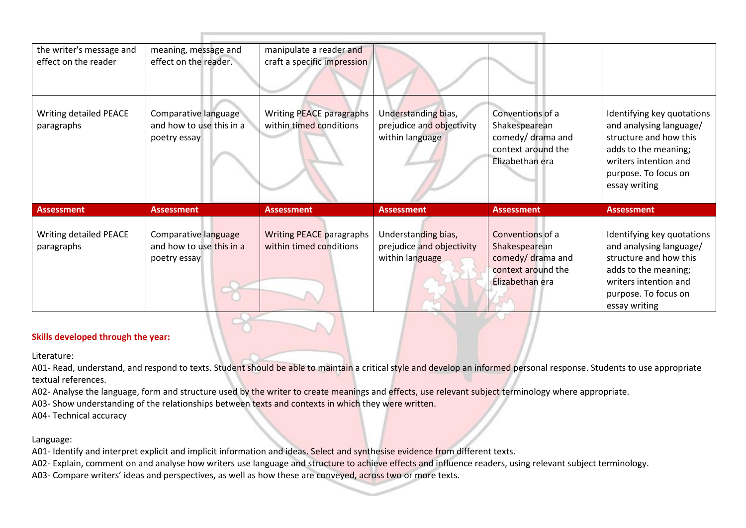| the writer's message and                    | meaning, message and                                             | manipulate a reader and                                    |                                                                     |                                                                                                 |                                                                                                                                                                           |
|---------------------------------------------|------------------------------------------------------------------|------------------------------------------------------------|---------------------------------------------------------------------|-------------------------------------------------------------------------------------------------|---------------------------------------------------------------------------------------------------------------------------------------------------------------------------|
| effect on the reader                        | effect on the reader.                                            | craft a specific impression                                |                                                                     |                                                                                                 |                                                                                                                                                                           |
| <b>Writing detailed PEACE</b><br>paragraphs | Comparative language<br>and how to use this in a<br>poetry essay | Writing PEACE paragraphs<br>within timed conditions        | Understanding bias,<br>prejudice and objectivity<br>within language | Conventions of a<br>Shakespearean<br>comedy/ drama and<br>context around the<br>Elizabethan era | Identifying key quotations<br>and analysing language/<br>structure and how this<br>adds to the meaning;<br>writers intention and<br>purpose. To focus on<br>essay writing |
| <b>Assessment</b>                           | <b>Assessment</b>                                                | <b>Assessment</b>                                          | <b>Assessment</b>                                                   | <b>Assessment</b>                                                                               | <b>Assessment</b>                                                                                                                                                         |
| Writing detailed PEACE<br>paragraphs        | Comparative language<br>and how to use this in a<br>poetry essay | <b>Writing PEACE paragraphs</b><br>within timed conditions | Understanding bias,<br>prejudice and objectivity<br>within language | Conventions of a<br>Shakespearean<br>comedy/drama and<br>context around the<br>Elizabethan era  | Identifying key quotations<br>and analysing language/<br>structure and how this<br>adds to the meaning;<br>writers intention and<br>purpose. To focus on<br>essay writing |

Literature:

A01- Read, understand, and respond to texts. Student should be able to maintain a critical style and develop an informed personal response. Students to use appropriate textual references.

A02- Analyse the language, form and structure used by the writer to create meanings and effects, use relevant subject terminology where appropriate.

A03- Show understanding of the relationships between texts and contexts in which they were written.

A04- Technical accuracy

Language:

A01- Identify and interpret explicit and implicit information and ideas. Select and synthesise evidence from different texts.

A02- Explain, comment on and analyse how writers use language and structure to achieve effects and influence readers, using relevant subject terminology.

A03- Compare writers' ideas and perspectives, as well as how these are conveyed, across two or more texts.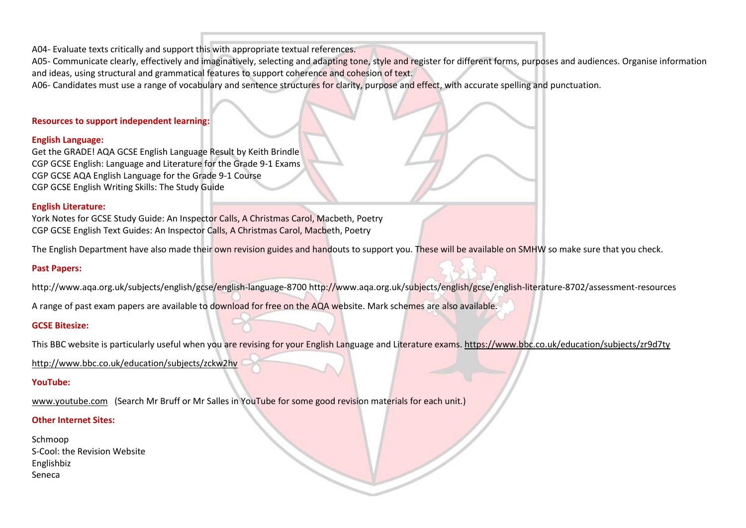A04- Evaluate texts critically and support this with appropriate textual references.

A05- Communicate clearly, effectively and imaginatively, selecting and adapting tone, style and register for different forms, purposes and audiences. Organise information and ideas, using structural and grammatical features to support coherence and cohesion of text.

A06- Candidates must use a range of vocabulary and sentence structures for clarity, purpose and effect, with accurate spelling and punctuation.

#### **Resources to support independent learning:**

#### **English Language:**

Get the GRADE! AQA GCSE English Language Result by Keith Brindle CGP GCSE English: Language and Literature for the Grade 9-1 Exams CGP GCSE AQA English Language for the Grade 9-1 Course CGP GCSE English Writing Skills: The Study Guide

#### **English Literature:**

York Notes for GCSE Study Guide: An Inspector Calls, A Christmas Carol, Macbeth, Poetry CGP GCSE English Text Guides: An Inspector Calls, A Christmas Carol, Macbeth, Poetry

The English Department have also made their own revision guides and handouts to support you. These will be available on SMHW so make sure that you check.

#### **Past Papers:**

http://www.aqa.org.uk/subjects/english/gcse/english-language-8700 http://www.aqa.org.uk/subjects/english/gcse/english-literature-8702/assessment-resources

A range of past exam papers are available to download for free on the AQA website. Mark schemes are also available.

#### **GCSE Bitesize:**

This BBC website is particularly useful when you are revising for your English Language and Literature exams. <https://www.bbc.co.uk/education/subjects/zr9d7ty>

<http://www.bbc.co.uk/education/subjects/zckw2hv>

#### **YouTube:**

[www.youtube.com](http://www.youtube.com/) (Search Mr Bruff or Mr Salles in YouTube for some good revision materials for each unit.)

#### **Other Internet Sites:**

Schmoop S-Cool: the Revision Website Englishbiz Seneca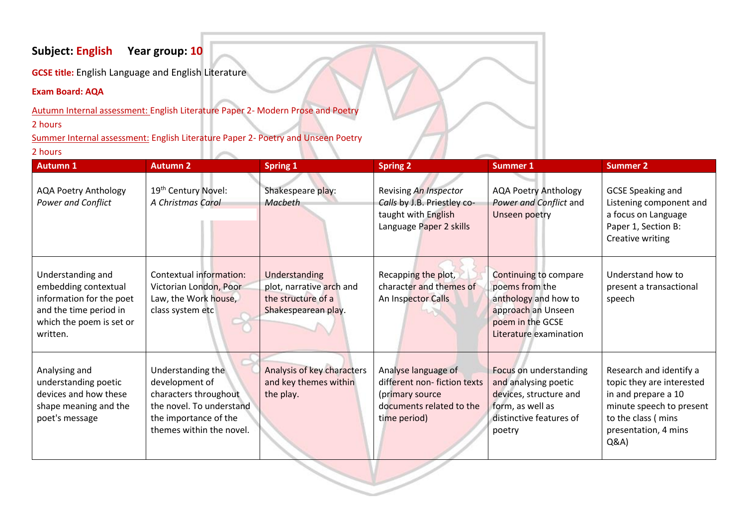# **Subject: English Year group: 10**

**GCSE title:** English Language and English Literature

# **Exam Board: AQA**

Autumn Internal assessment: English Literature Paper 2- Modern Prose and Poetry

2 hours

Summer Internal assessment: English Literature Paper 2- Poetry and Unseen Poetry

# 2 hours

| <b>Autumn 1</b>                                                                                                                         | <b>Autumn 2</b>                                                                                                                               | <b>Spring 1</b>                                                                        | <b>Spring 2</b>                                                                                                   | <b>Summer 1</b>                                                                                                                            | <b>Summer 2</b>                                                                                                                                                |
|-----------------------------------------------------------------------------------------------------------------------------------------|-----------------------------------------------------------------------------------------------------------------------------------------------|----------------------------------------------------------------------------------------|-------------------------------------------------------------------------------------------------------------------|--------------------------------------------------------------------------------------------------------------------------------------------|----------------------------------------------------------------------------------------------------------------------------------------------------------------|
| <b>AQA Poetry Anthology</b><br><b>Power and Conflict</b>                                                                                | 19 <sup>th</sup> Century Novel:<br>A Christmas Carol                                                                                          | Shakespeare play:<br>Macbeth                                                           | Revising An Inspector<br>Calls by J.B. Priestley co-<br>taught with English<br>Language Paper 2 skills            | <b>AQA Poetry Anthology</b><br>Power and Conflict and<br>Unseen poetry                                                                     | <b>GCSE Speaking and</b><br>Listening component and<br>a focus on Language<br>Paper 1, Section B:<br>Creative writing                                          |
| Understanding and<br>embedding contextual<br>information for the poet<br>and the time period in<br>which the poem is set or<br>written. | Contextual information:<br>Victorian London, Poor<br>Law, the Work house,<br>class system etc                                                 | Understanding<br>plot, narrative arch and<br>the structure of a<br>Shakespearean play. | Recapping the plot,<br>character and themes of<br>An Inspector Calls                                              | <b>Continuing to compare</b><br>poems from the<br>anthology and how to<br>approach an Unseen<br>poem in the GCSE<br>Literature examination | Understand how to<br>present a transactional<br>speech                                                                                                         |
| Analysing and<br>understanding poetic<br>devices and how these<br>shape meaning and the<br>poet's message                               | Understanding the<br>development of<br>characters throughout<br>the novel. To understand<br>the importance of the<br>themes within the novel. | <b>Analysis of key characters</b><br>and key themes within<br>the play.                | Analyse language of<br>different non-fiction texts<br>(primary source<br>documents related to the<br>time period) | Focus on understanding<br>and analysing poetic<br>devices, structure and<br>form, as well as<br>distinctive features of<br>poetry          | Research and identify a<br>topic they are interested<br>in and prepare a 10<br>minute speech to present<br>to the class ( mins<br>presentation, 4 mins<br>Q&A) |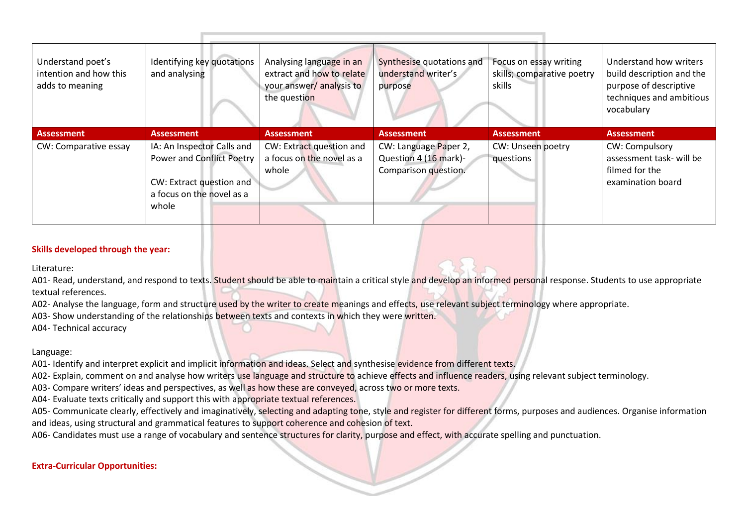| Understand poet's<br>intention and how this<br>adds to meaning | Identifying key quotations<br>and analysing                                                                                      | Analysing language in an<br>extract and how to relate<br>your answer/analysis to<br>the question | Synthesise quotations and<br>understand writer's<br>purpose            | Focus on essay writing<br>skills; comparative poetry<br>skills | Understand how writers<br>build description and the<br>purpose of descriptive<br>techniques and ambitious<br>vocabulary |
|----------------------------------------------------------------|----------------------------------------------------------------------------------------------------------------------------------|--------------------------------------------------------------------------------------------------|------------------------------------------------------------------------|----------------------------------------------------------------|-------------------------------------------------------------------------------------------------------------------------|
|                                                                |                                                                                                                                  |                                                                                                  |                                                                        |                                                                |                                                                                                                         |
| <b>Assessment</b>                                              | <b>Assessment</b>                                                                                                                | <b>Assessment</b>                                                                                | <b>Assessment</b>                                                      | <b>Assessment</b>                                              | <b>Assessment</b>                                                                                                       |
| CW: Comparative essay                                          | IA: An Inspector Calls and<br><b>Power and Conflict Poetry</b><br>CW: Extract question and<br>a focus on the novel as a<br>whole | CW: Extract question and<br>a focus on the novel as a<br>whole                                   | CW: Language Paper 2,<br>Question 4 (16 mark)-<br>Comparison question. | CW: Unseen poetry<br>questions                                 | <b>CW: Compulsory</b><br>assessment task- will be<br>filmed for the<br>examination board                                |

Literature:

A01- Read, understand, and respond to texts. Student should be able to maintain a critical style and develop an informed personal response. Students to use appropriate textual references.

A02- Analyse the language, form and structure used by the writer to create meanings and effects, use relevant subject terminology where appropriate.

A03- Show understanding of the relationships between texts and contexts in which they were written.

A04- Technical accuracy

#### Language:

A01- Identify and interpret explicit and implicit information and ideas. Select and synthesise evidence from different texts.

A02- Explain, comment on and analyse how writers use language and structure to achieve effects and influence readers, using relevant subject terminology.

A03- Compare writers' ideas and perspectives, as well as how these are conveyed, across two or more texts.

A04- Evaluate texts critically and support this with appropriate textual references.

A05- Communicate clearly, effectively and imaginatively, selecting and adapting tone, style and register for different forms, purposes and audiences. Organise information and ideas, using structural and grammatical features to support coherence and cohesion of text.

A06- Candidates must use a range of vocabulary and sentence structures for clarity, purpose and effect, with accurate spelling and punctuation.

# **Extra-Curricular Opportunities:**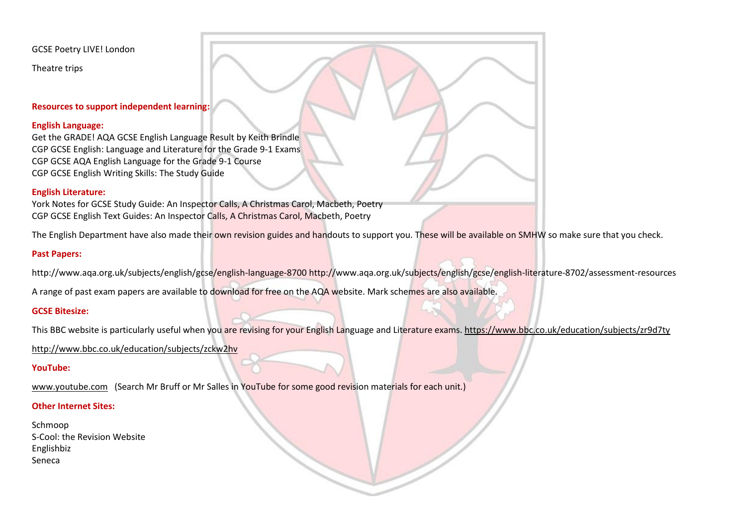GCSE Poetry LIVE! London

Theatre trips

#### **Resources to support independent learning:**

#### **English Language:**

Get the GRADE! AQA GCSE English Language Result by Keith Brindle CGP GCSE English: Language and Literature for the Grade 9-1 Exams CGP GCSE AQA English Language for the Grade 9-1 Course CGP GCSE English Writing Skills: The Study Guide

## **English Literature:**

York Notes for GCSE Study Guide: An Inspector Calls, A Christmas Carol, Macbeth, Poetry CGP GCSE English Text Guides: An Inspector Calls, A Christmas Carol, Macbeth, Poetry

The English Department have also made their own revision guides and handouts to support you. These will be available on SMHW so make sure that you check.

## **Past Papers:**

http://www.aqa.org.uk/subjects/english/gcse/english-language-8700 http://www.aqa.org.uk/subjects/english/gcse/english-literature-8702/assessment-resources

A range of past exam papers are available to download for free on the AQA website. Mark schemes are also available.

## **GCSE Bitesize:**

This BBC website is particularly useful when you are revising for your English Language and Literature exams. <https://www.bbc.co.uk/education/subjects/zr9d7ty>

<http://www.bbc.co.uk/education/subjects/zckw2hv>

## **YouTube:**

[www.youtube.com](http://www.youtube.com/) (Search Mr Bruff or Mr Salles in YouTube for some good revision materials for each unit.)

# **Other Internet Sites:**

Schmoop S-Cool: the Revision Website Englishbiz Seneca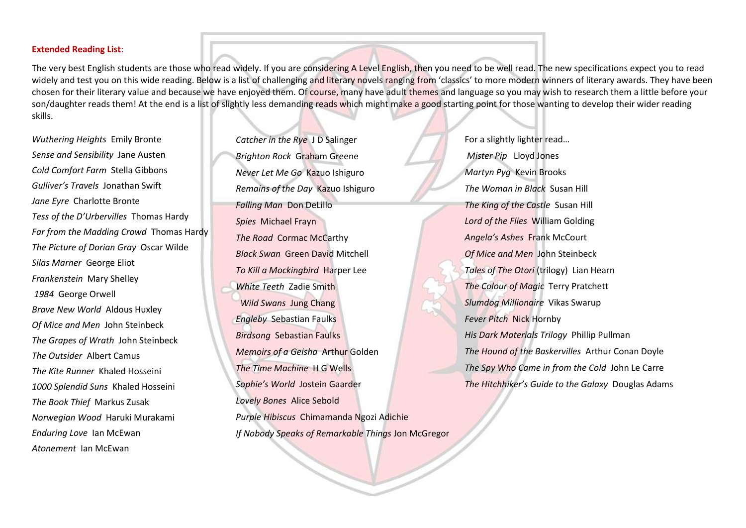#### **Extended Reading List**:

The very best English students are those who read widely. If you are considering A Level English, then you need to be well read. The new specifications expect you to read widely and test you on this wide reading. Below is a list of challenging and literary novels ranging from 'classics' to more modern winners of literary awards. They have been chosen for their literary value and because we have enjoyed them. Of course, many have adult themes and language so you may wish to research them a little before your son/daughter reads them! At the end is a list of slightly less demanding reads which might make a good starting point for those wanting to develop their wider reading skills.

*Wuthering Heights* Emily Bronte *Sense and Sensibility* Jane Austen *Cold Comfort Farm* Stella Gibbons *Gulliver's Travels* Jonathan Swift *Jane Eyre* Charlotte Bronte *Tess of the D'Urbervilles* Thomas Hardy *Far from the Madding Crowd* Thomas Hardy *The Picture of Dorian Gray* Oscar Wilde *Silas Marner* George Eliot *Frankenstein* Mary Shelley *1984* George Orwell *Brave New World* Aldous Huxley *Of Mice and Men* John Steinbeck *The Grapes of Wrath* John Steinbeck *The Outsider* Albert Camus *The Kite Runner* Khaled Hosseini *1000 Splendid Suns* Khaled Hosseini *The Book Thief* Markus Zusak *Norwegian Wood* Haruki Murakami *Enduring Love* Ian McEwan *Atonement* Ian McEwan

*Catcher in the Rye* J D Salinger *Brighton Rock* Graham Greene *Never Let Me Go* Kazuo Ishiguro *Remains of the Day* Kazuo Ishiguro *Falling Man* Don DeLillo *Spies* Michael Frayn *The Road* Cormac McCarthy *Black Swan* Green David Mitchell *To Kill a Mockingbird* Harper Lee *White Teeth* Zadie Smith *Wild Swans* Jung Chang *Engleby* Sebastian Faulks *Birdsong* Sebastian Faulks *Memoirs of a Geisha* Arthur Golden *The Time Machine* H G Wells *Sophie's World* Jostein Gaarder *Lovely Bones* Alice Sebold *Purple Hibiscus* Chimamanda Ngozi Adichie *If Nobody Speaks of Remarkable Things* Jon McGregor

For a slightly lighter read… *Mister Pip* Lloyd Jones *Martyn Pyg* Kevin Brooks *The Woman in Black* Susan Hill *The King of the Castle* Susan Hill *Lord of the Flies* William Golding *Angela's Ashes* Frank McCourt *Of Mice and Men* John Steinbeck *Tales of The Otori* (trilogy) Lian Hearn *The Colour of Magic* Terry Pratchett *Slumdog Millionaire* Vikas Swarup *Fever Pitch* Nick Hornby *His Dark Materials Trilogy* Phillip Pullman *The Hound of the Baskervilles* Arthur Conan Doyle *The Spy Who Came in from the Cold* John Le Carre *The Hitchhiker's Guide to the Galaxy* Douglas Adams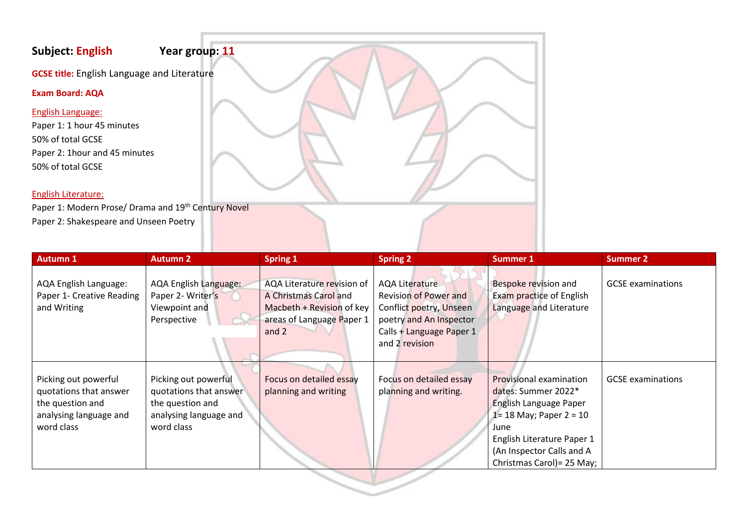# **Subject: English Year group: 11**

**GCSE title:** English Language and Literature

**Exam Board: AQA**

# English Language:

Paper 1: 1 hour 45 minutes 50% of total GCSE Paper 2: 1hour and 45 minutes 50% of total GCSE

# English Literature:

Paper 1: Modern Prose/ Drama and 19<sup>th</sup> Century Novel Paper 2: Shakespeare and Unseen Poetry

| <b>Autumn 1</b>                                                                                            | <b>Autumn 2</b>                                                                                            | <b>Spring 1</b>                                                                                                        | <b>Spring 2</b>                                                                                                                                           | <b>Summer 1</b>                                                                                                                                                                                         | <b>Summer 2</b>          |
|------------------------------------------------------------------------------------------------------------|------------------------------------------------------------------------------------------------------------|------------------------------------------------------------------------------------------------------------------------|-----------------------------------------------------------------------------------------------------------------------------------------------------------|---------------------------------------------------------------------------------------------------------------------------------------------------------------------------------------------------------|--------------------------|
| AQA English Language:<br>Paper 1- Creative Reading<br>and Writing                                          | <b>AQA English Language:</b><br>Paper 2- Writer's<br>Viewpoint and<br>Perspective                          | AQA Literature revision of<br>A Christmas Carol and<br>Macbeth + Revision of key<br>areas of Language Paper 1<br>and 2 | <b>AQA Literature</b><br><b>Revision of Power and</b><br>Conflict poetry, Unseen<br>poetry and An Inspector<br>Calls + Language Paper 1<br>and 2 revision | Bespoke revision and<br><b>Exam practice of English</b><br>Language and Literature                                                                                                                      | <b>GCSE</b> examinations |
| Picking out powerful<br>quotations that answer<br>the question and<br>analysing language and<br>word class | Picking out powerful<br>quotations that answer<br>the question and<br>analysing language and<br>word class | Focus on detailed essay<br>planning and writing                                                                        | Focus on detailed essay<br>planning and writing.                                                                                                          | Provisional examination<br>dates: Summer 2022*<br>English Language Paper<br>1 = 18 May; Paper $2 = 10$<br>June<br>English Literature Paper 1<br>(An Inspector Calls and A<br>Christmas Carol) = 25 May; | <b>GCSE</b> examinations |

 $\sim$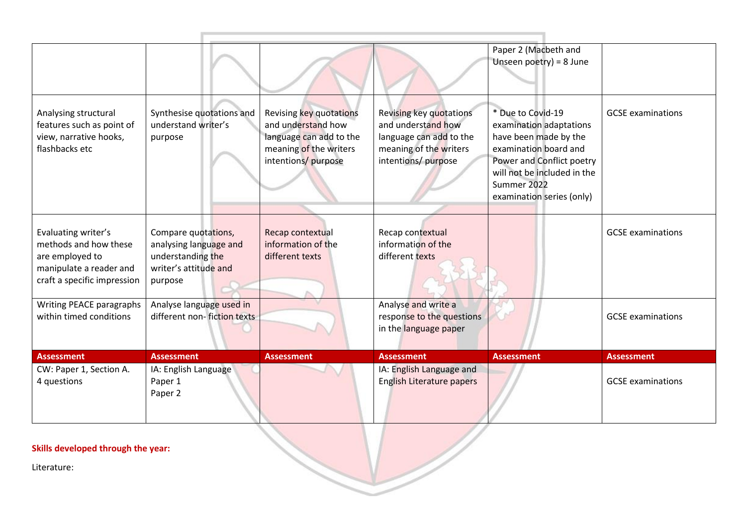|                                                                                                                           |                                                                                                        |                                                                                                                           |                                                                                                                          | Paper 2 (Macbeth and<br>Unseen $poetry$ ) = 8 June                                                                                                                                                     |                          |
|---------------------------------------------------------------------------------------------------------------------------|--------------------------------------------------------------------------------------------------------|---------------------------------------------------------------------------------------------------------------------------|--------------------------------------------------------------------------------------------------------------------------|--------------------------------------------------------------------------------------------------------------------------------------------------------------------------------------------------------|--------------------------|
| Analysing structural<br>features such as point of<br>view, narrative hooks,<br>flashbacks etc                             | Synthesise quotations and<br>understand writer's<br>purpose                                            | Revising key quotations<br>and understand how<br>language can add to the<br>meaning of the writers<br>intentions/ purpose | Revising key quotations<br>and understand how<br>language can add to the<br>meaning of the writers<br>intentions/purpose | * Due to Covid-19<br>examination adaptations<br>have been made by the<br>examination board and<br>Power and Conflict poetry<br>will not be included in the<br>Summer 2022<br>examination series (only) | <b>GCSE</b> examinations |
| Evaluating writer's<br>methods and how these<br>are employed to<br>manipulate a reader and<br>craft a specific impression | Compare quotations,<br>analysing language and<br>understanding the<br>writer's attitude and<br>purpose | Recap contextual<br>information of the<br>different texts                                                                 | Recap contextual<br>information of the<br>different texts                                                                |                                                                                                                                                                                                        | <b>GCSE</b> examinations |
| Writing PEACE paragraphs<br>within timed conditions                                                                       | Analyse language used in<br>different non-fiction texts                                                |                                                                                                                           | Analyse and write a<br>response to the questions<br>in the language paper                                                |                                                                                                                                                                                                        | <b>GCSE</b> examinations |
| <b>Assessment</b>                                                                                                         | <b>Assessment</b>                                                                                      | <b>Assessment</b>                                                                                                         | <b>Assessment</b>                                                                                                        | <b>Assessment</b>                                                                                                                                                                                      | <b>Assessment</b>        |
| CW: Paper 1, Section A.<br>4 questions                                                                                    | IA: English Language<br>Paper 1<br>Paper 2                                                             |                                                                                                                           | IA: English Language and<br><b>English Literature papers</b>                                                             |                                                                                                                                                                                                        | <b>GCSE</b> examinations |

Literature: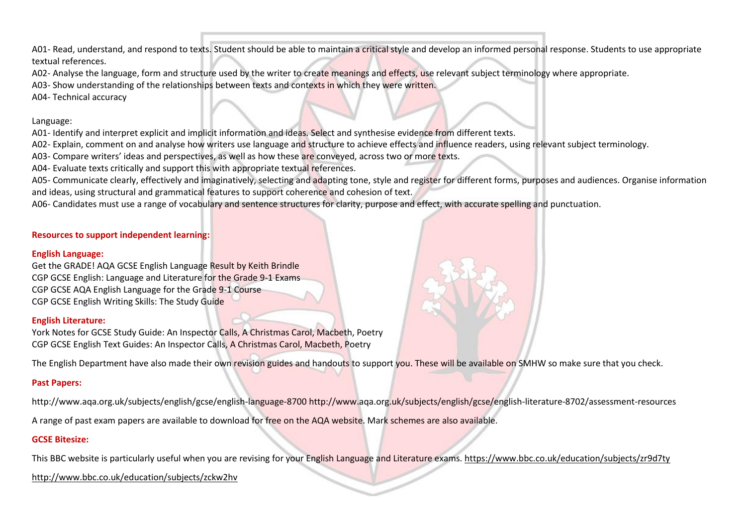A01- Read, understand, and respond to texts. Student should be able to maintain a critical style and develop an informed personal response. Students to use appropriate textual references.

A02- Analyse the language, form and structure used by the writer to create meanings and effects, use relevant subject terminology where appropriate.

A03- Show understanding of the relationships between texts and contexts in which they were written.

A04- Technical accuracy

#### Language:

A01- Identify and interpret explicit and implicit information and ideas. Select and synthesise evidence from different texts.

A02- Explain, comment on and analyse how writers use language and structure to achieve effects and influence readers, using relevant subject terminology.

A03- Compare writers' ideas and perspectives, as well as how these are conveyed, across two or more texts.

A04- Evaluate texts critically and support this with appropriate textual references.

A05- Communicate clearly, effectively and imaginatively, selecting and adapting tone, style and register for different forms, purposes and audiences. Organise information and ideas, using structural and grammatical features to support coherence and cohesion of text.

A06- Candidates must use a range of vocabulary and sentence structures for clarity, purpose and effect, with accurate spelling and punctuation.

## **Resources to support independent learning:**

## **English Language:**

Get the GRADE! AQA GCSE English Language Result by Keith Brindle CGP GCSE English: Language and Literature for the Grade 9-1 Exams CGP GCSE AQA English Language for the Grade 9-1 Course CGP GCSE English Writing Skills: The Study Guide

## **English Literature:**

York Notes for GCSE Study Guide: An Inspector Calls, A Christmas Carol, Macbeth, Poetry CGP GCSE English Text Guides: An Inspector Calls, A Christmas Carol, Macbeth, Poetry

The English Department have also made their own revision guides and handouts to support you. These will be available on SMHW so make sure that you check.

# **Past Papers:**

http://www.aqa.org.uk/subjects/english/gcse/english-language-8700 http://www.aqa.org.uk/subjects/english/gcse/english-literature-8702/assessment-resources

A range of past exam papers are available to download for free on the AQA website. Mark schemes are also available.

# **GCSE Bitesize:**

This BBC website is particularly useful when you are revising for your English Language and Literature exams. https://www.bbc.co.uk/education/subjects/zr9d7ty

<http://www.bbc.co.uk/education/subjects/zckw2hv>